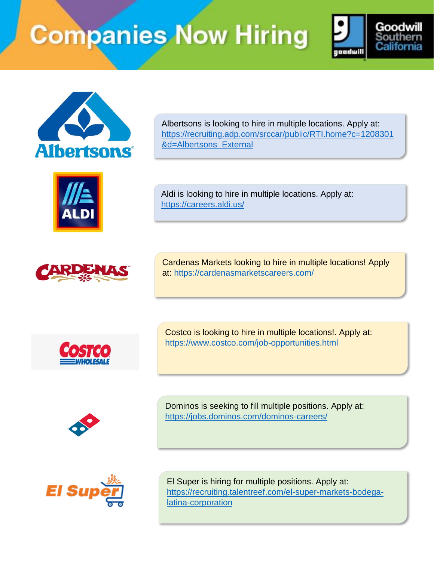



ALDI



Albertsons is looking to hire in multiple locations. Apply at: [https://recruiting.adp.com/srccar/public/RTI.home?c=1208301](https://recruiting.adp.com/srccar/public/RTI.home?c=1208301&d=Albertsons_External) [&d=Albertsons\\_External](https://recruiting.adp.com/srccar/public/RTI.home?c=1208301&d=Albertsons_External)

Aldi is looking to hire in multiple locations. Apply at: <https://careers.aldi.us/>

Cardenas Markets looking to hire in multiple locations! Apply at: <https://cardenasmarketscareers.com/>



Costco is looking to hire in multiple locations!. Apply at: <https://www.costco.com/job-opportunities.html>



Dominos is seeking to fill multiple positions. Apply at: <https://jobs.dominos.com/dominos-careers/>



El Super is hiring for multiple positions. Apply at: [https://recruiting.talentreef.com/el-super-markets-bodega](https://recruiting.talentreef.com/el-super-markets-bodega-latina-corporation)[latina-corporation](https://recruiting.talentreef.com/el-super-markets-bodega-latina-corporation)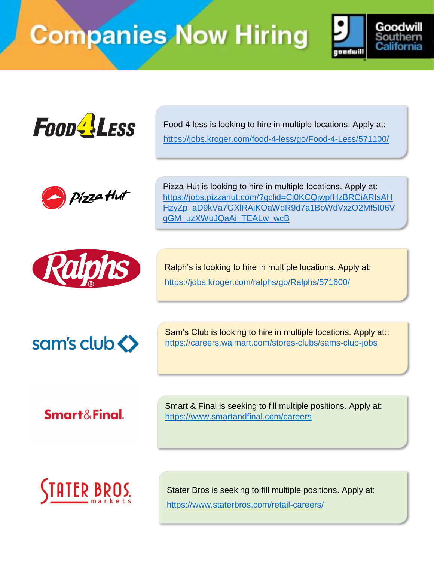



Food 4 less is looking to hire in multiple locations. Apply at: <https://jobs.kroger.com/food-4-less/go/Food-4-Less/571100/>



Pizza Hut is looking to hire in multiple locations. Apply at: [https://jobs.pizzahut.com/?gclid=Cj0KCQjwpfHzBRCiARIsAH](https://jobs.pizzahut.com/?gclid=Cj0KCQjwpfHzBRCiARIsAHHzyZp_aD9kVa7GXlRAiKOaWdR9d7a1BoWdVxzO2Mf5I06VqGM_uzXWuJQaAi_TEALw_wcB) [HzyZp\\_aD9kVa7GXlRAiKOaWdR9d7a1BoWdVxzO2Mf5I06V](https://jobs.pizzahut.com/?gclid=Cj0KCQjwpfHzBRCiARIsAHHzyZp_aD9kVa7GXlRAiKOaWdR9d7a1BoWdVxzO2Mf5I06VqGM_uzXWuJQaAi_TEALw_wcB) [qGM\\_uzXWuJQaAi\\_TEALw\\_wcB](https://jobs.pizzahut.com/?gclid=Cj0KCQjwpfHzBRCiARIsAHHzyZp_aD9kVa7GXlRAiKOaWdR9d7a1BoWdVxzO2Mf5I06VqGM_uzXWuJQaAi_TEALw_wcB)



Ralph's is looking to hire in multiple locations. Apply at: <https://jobs.kroger.com/ralphs/go/Ralphs/571600/>



Sam's Club is looking to hire in multiple locations. Apply at:: <https://careers.walmart.com/stores-clubs/sams-club-jobs>

Smart&Final.

Smart & Final is seeking to fill multiple positions. Apply at: <https://www.smartandfinal.com/careers>



Stater Bros is seeking to fill multiple positions. Apply at: <https://www.staterbros.com/retail-careers/>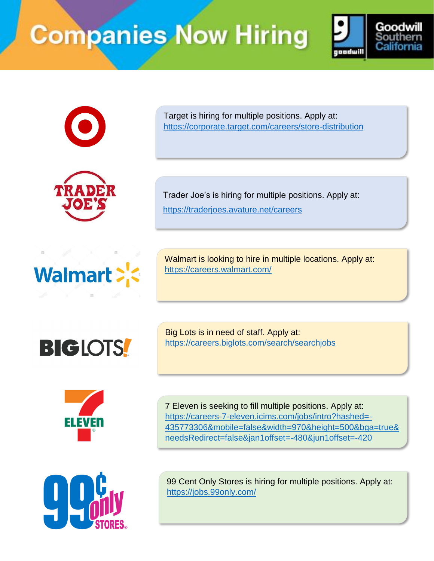







Target is hiring for multiple positions. Apply at: <https://corporate.target.com/careers/store-distribution>

Trader Joe's is hiring for multiple positions. Apply at: <https://traderjoes.avature.net/careers>

Walmart is looking to hire in multiple locations. Apply at: <https://careers.walmart.com/>



Big Lots is in need of staff. Apply at: <https://careers.biglots.com/search/searchjobs>



7 Eleven is seeking to fill multiple positions. Apply at: [https://careers-7-eleven.icims.com/jobs/intro?hashed=-](https://careers-7-eleven.icims.com/jobs/intro?hashed=-435773306&mobile=false&width=970&height=500&bga=true&needsRedirect=false&jan1offset=-480&jun1offset=-420) [435773306&mobile=false&width=970&height=500&bga=true&](https://careers-7-eleven.icims.com/jobs/intro?hashed=-435773306&mobile=false&width=970&height=500&bga=true&needsRedirect=false&jan1offset=-480&jun1offset=-420) [needsRedirect=false&jan1offset=-480&jun1offset=-420](https://careers-7-eleven.icims.com/jobs/intro?hashed=-435773306&mobile=false&width=970&height=500&bga=true&needsRedirect=false&jan1offset=-480&jun1offset=-420)



99 Cent Only Stores is hiring for multiple positions. Apply at: <https://jobs.99only.com/>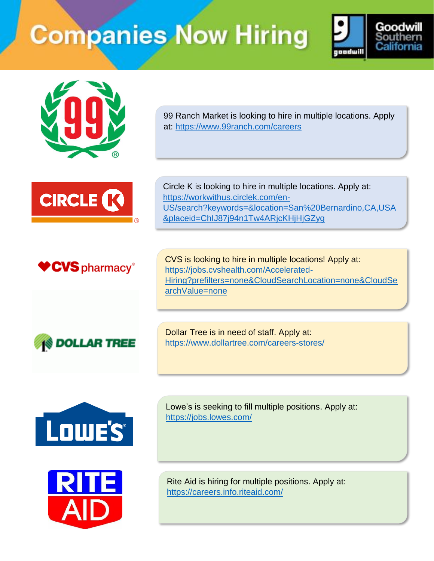



99 Ranch Market is looking to hire in multiple locations. Apply at:<https://www.99ranch.com/careers>



Circle K is looking to hire in multiple locations. Apply at: [https://workwithus.circlek.com/en-](https://workwithus.circlek.com/en-US/search?keywords=&location=San%20Bernardino,CA,USA&placeid=ChIJ87j94n1Tw4ARjcKHjHjGZyg)[US/search?keywords=&location=San%20Bernardino,CA,USA](https://workwithus.circlek.com/en-US/search?keywords=&location=San%20Bernardino,CA,USA&placeid=ChIJ87j94n1Tw4ARjcKHjHjGZyg) [&placeid=ChIJ87j94n1Tw4ARjcKHjHjGZyg](https://workwithus.circlek.com/en-US/search?keywords=&location=San%20Bernardino,CA,USA&placeid=ChIJ87j94n1Tw4ARjcKHjHjGZyg)



CVS is looking to hire in multiple locations! Apply at: [https://jobs.cvshealth.com/Accelerated-](https://jobs.cvshealth.com/Accelerated-Hiring?prefilters=none&CloudSearchLocation=none&CloudSearchValue=none)[Hiring?prefilters=none&CloudSearchLocation=none&CloudSe](https://jobs.cvshealth.com/Accelerated-Hiring?prefilters=none&CloudSearchLocation=none&CloudSearchValue=none) [archValue=none](https://jobs.cvshealth.com/Accelerated-Hiring?prefilters=none&CloudSearchLocation=none&CloudSearchValue=none)



Dollar Tree is in need of staff. Apply at: <https://www.dollartree.com/careers-stores/>





Lowe's is seeking to fill multiple positions. Apply at: <https://jobs.lowes.com/>

Rite Aid is hiring for multiple positions. Apply at: <https://careers.info.riteaid.com/>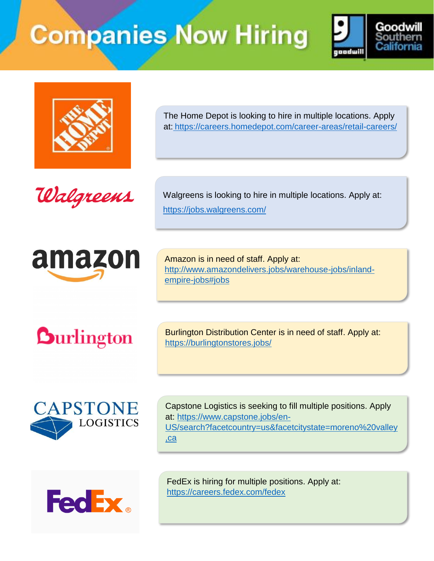



The Home Depot is looking to hire in multiple locations. Apply at: <https://careers.homedepot.com/career-areas/retail-careers/>





Walgreens is looking to hire in multiple locations. Apply at: <https://jobs.walgreens.com/>

Amazon is in need of staff. Apply at: [http://www.amazondelivers.jobs/warehouse-jobs/inland](http://www.amazondelivers.jobs/warehouse-jobs/inland-empire-jobs#jobs)[empire-jobs#jobs](http://www.amazondelivers.jobs/warehouse-jobs/inland-empire-jobs#jobs)

**Durlington** 

Burlington Distribution Center is in need of staff. Apply at: <https://burlingtonstores.jobs/>



Capstone Logistics is seeking to fill multiple positions. Apply at: [https://www.capstone.jobs/en-](https://www.capstone.jobs/en-US/search?facetcountry=us&facetcitystate=moreno%20valley,ca)[US/search?facetcountry=us&facetcitystate=moreno%20valley](https://www.capstone.jobs/en-US/search?facetcountry=us&facetcitystate=moreno%20valley,ca) [,ca](https://www.capstone.jobs/en-US/search?facetcountry=us&facetcitystate=moreno%20valley,ca)



FedEx is hiring for multiple positions. Apply at: <https://careers.fedex.com/fedex>